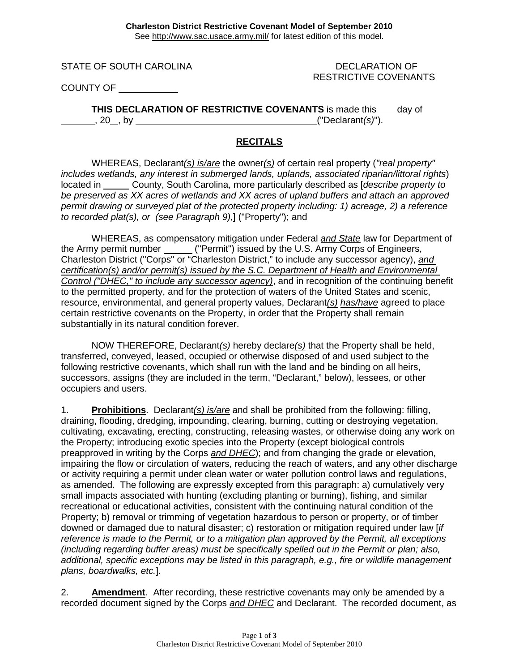STATE OF SOUTH CAROLINA DECLARATION OF

RESTRICTIVE COVENANTS

COUNTY OF

**THIS DECLARATION OF RESTRICTIVE COVENANTS** is made this day of , 20 , by ("Declarant*(s)*").

## **RECITALS**

WHEREAS, Declarant*(s) is/are* the owner*(s)* of certain real property (*"real property" includes wetlands, any interest in submerged lands, uplands, associated riparian/littoral rights*) located in County, South Carolina, more particularly described as [*describe property to be preserved as XX acres of wetlands and XX acres of upland buffers and attach an approved permit drawing or surveyed plat of the protected property including: 1) acreage, 2) a reference to recorded plat(s), or (see Paragraph 9),*] ("Property"); and

WHEREAS, as compensatory mitigation under Federal *and State* law for Department of the Army permit number \_\_\_\_\_\_ ("Permit") issued by the U.S. Army Corps of Engineers, Charleston District ("Corps" or "Charleston District," to include any successor agency), *and certification(s) and/or permit(s) issued by the S.C. Department of Health and Environmental Control ("DHEC," to include any successor agency)*, and in recognition of the continuing benefit to the permitted property, and for the protection of waters of the United States and scenic, resource, environmental, and general property values, Declarant*(s) has/have* agreed to place certain restrictive covenants on the Property, in order that the Property shall remain substantially in its natural condition forever.

NOW THEREFORE, Declarant*(s)* hereby declare*(s)* that the Property shall be held, transferred, conveyed, leased, occupied or otherwise disposed of and used subject to the following restrictive covenants, which shall run with the land and be binding on all heirs, successors, assigns (they are included in the term, "Declarant," below), lessees, or other occupiers and users.

1. **Prohibitions**. Declarant*(s) is/are* and shall be prohibited from the following: filling, draining, flooding, dredging, impounding, clearing, burning, cutting or destroying vegetation, cultivating, excavating, erecting, constructing, releasing wastes, or otherwise doing any work on the Property; introducing exotic species into the Property (except biological controls preapproved in writing by the Corps *and DHEC*); and from changing the grade or elevation, impairing the flow or circulation of waters, reducing the reach of waters, and any other discharge or activity requiring a permit under clean water or water pollution control laws and regulations, as amended. The following are expressly excepted from this paragraph: a) cumulatively very small impacts associated with hunting (excluding planting or burning), fishing, and similar recreational or educational activities, consistent with the continuing natural condition of the Property; b) removal or trimming of vegetation hazardous to person or property, or of timber downed or damaged due to natural disaster; c) restoration or mitigation required under law [*if reference is made to the Permit, or to a mitigation plan approved by the Permit, all exceptions (including regarding buffer areas) must be specifically spelled out in the Permit or plan; also, additional, specific exceptions may be listed in this paragraph, e.g., fire or wildlife management plans, boardwalks, etc.*].

2. **Amendment**. After recording, these restrictive covenants may only be amended by a recorded document signed by the Corps *and DHEC* and Declarant. The recorded document, as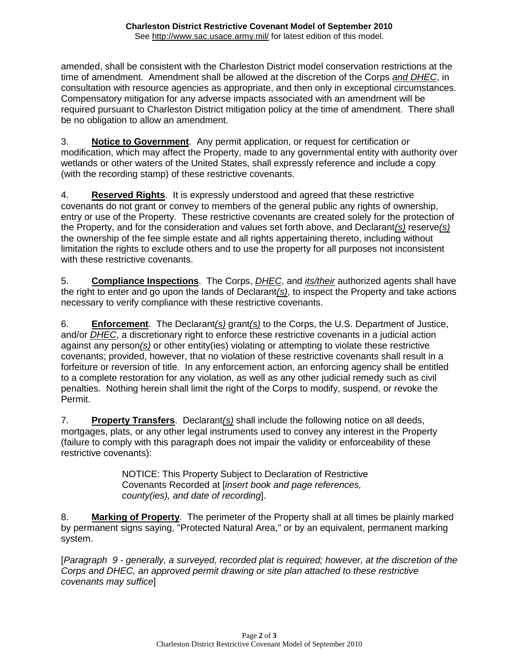amended, shall be consistent with the Charleston District model conservation restrictions at the time of amendment. Amendment shall be allowed at the discretion of the Corps *and DHEC*, in consultation with resource agencies as appropriate, and then only in exceptional circumstances. Compensatory mitigation for any adverse impacts associated with an amendment will be required pursuant to Charleston District mitigation policy at the time of amendment. There shall be no obligation to allow an amendment.

3. **Notice to Government**. Any permit application, or request for certification or modification, which may affect the Property, made to any governmental entity with authority over wetlands or other waters of the United States, shall expressly reference and include a copy (with the recording stamp) of these restrictive covenants.

4. **Reserved Rights**. It is expressly understood and agreed that these restrictive covenants do not grant or convey to members of the general public any rights of ownership, entry or use of the Property. These restrictive covenants are created solely for the protection of the Property, and for the consideration and values set forth above, and Declarant*(s)* reserve*(s)* the ownership of the fee simple estate and all rights appertaining thereto, including without limitation the rights to exclude others and to use the property for all purposes not inconsistent with these restrictive covenants.

5. **Compliance Inspections**. The Corps, *DHEC*, and *its/their* authorized agents shall have the right to enter and go upon the lands of Declarant*(s)*, to inspect the Property and take actions necessary to verify compliance with these restrictive covenants.

6. **Enforcement**. The Declarant*(s)* grant*(s)* to the Corps, the U.S. Department of Justice, and/or *DHEC*, a discretionary right to enforce these restrictive covenants in a judicial action against any person*(s)* or other entity(ies) violating or attempting to violate these restrictive covenants; provided, however, that no violation of these restrictive covenants shall result in a forfeiture or reversion of title. In any enforcement action, an enforcing agency shall be entitled to a complete restoration for any violation, as well as any other judicial remedy such as civil penalties. Nothing herein shall limit the right of the Corps to modify, suspend, or revoke the Permit.

7. **Property Transfers**. Declarant*(s)* shall include the following notice on all deeds, mortgages, plats, or any other legal instruments used to convey any interest in the Property (failure to comply with this paragraph does not impair the validity or enforceability of these restrictive covenants):

> NOTICE: This Property Subject to Declaration of Restrictive Covenants Recorded at [*insert book and page references, county(ies), and date of recording*].

8. **Marking of Property**. The perimeter of the Property shall at all times be plainly marked by permanent signs saying, "Protected Natural Area," or by an equivalent, permanent marking system.

[*Paragraph 9 - generally, a surveyed, recorded plat is required; however, at the discretion of the Corps and DHEC, an approved permit drawing or site plan attached to these restrictive covenants may suffice*]